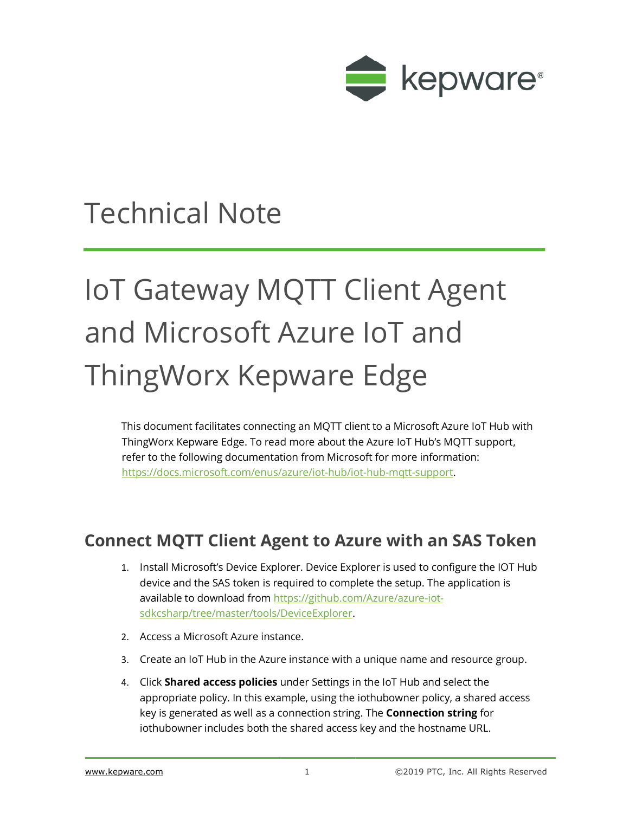

## Technical Note

## IoT Gateway MQTT Client Agent and Microsoft Azure IoT and ThingWorx Kepware Edge

This document facilitates connecting an MQTT client to a Microsoft Azure IoT Hub with ThingWorx Kepware Edge. To read more about the Azure IoT Hub's MQTT support, refer to the following documentation from Microsoft for more information: [https://docs.microsoft.com/enus/azure/iot-hub/iot-hub-mqtt-support.](https://docs.microsoft.com/en-us/azure/iot-hub/iot-hub-mqtt-support)

## **Connect MQTT Client Agent to Azure with an SAS Token**

- 1. Install Microsoft's Device Explorer. Device Explorer is used to configure the IOT Hub device and the SAS token is required to complete the setup. The application is available to download from [https://github.com/Azure/azure-iot](https://github.com/Azure/azure-iot-sdk-csharp/tree/master/tools/DeviceExplorer)[sdkcsharp/tree/master/tools/DeviceExplorer.](https://github.com/Azure/azure-iot-sdk-csharp/tree/master/tools/DeviceExplorer)
- 2. Access a Microsoft Azure instance.
- 3. Create an IoT Hub in the Azure instance with a unique name and resource group.
- 4. Click **Shared access policies** under Settings in the IoT Hub and select the appropriate policy. In this example, using the iothubowner policy, a shared access key is generated as well as a connection string. The **Connection string** for iothubowner includes both the shared access key and the hostname URL.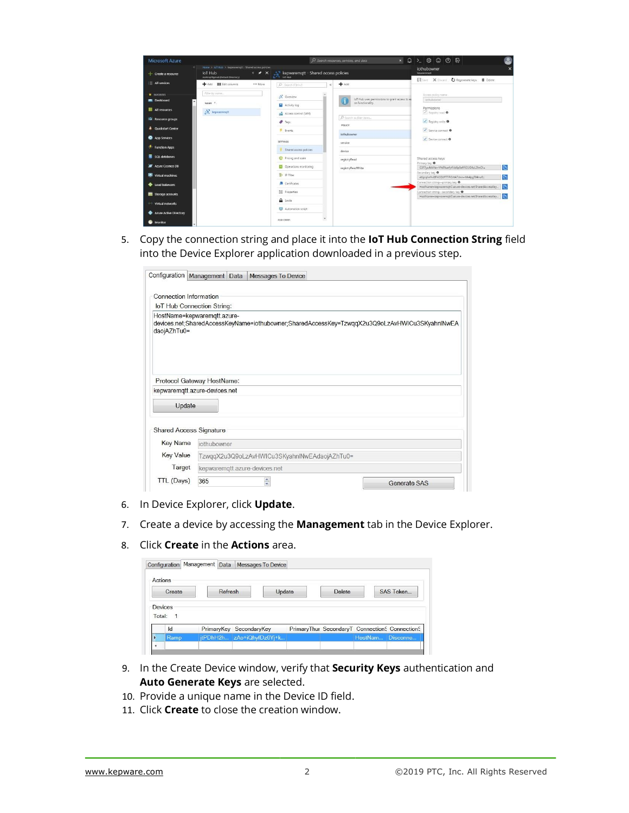| <b>Microsoft Azure</b>     |                                                                                                                        |                                                                  | O Search resources, services, and docs                              | $\star \quad \text{Q} \quad \text{&} \quad \text{&} \quad \text{&} \quad \text{&} \quad \text{&} \quad \text{&} \quad \text{&} \quad \text{&} \quad \text{&} \quad \text{&} \quad \text{&} \quad \text{&} \quad \text{&} \quad \text{&} \quad \text{&} \quad \text{&} \quad \text{&} \quad \text{&} \quad \text{&} \quad \text{&} \quad \text{&} \quad \text{&} \quad \text{&} \quad \text{&} \quad \text{&} \quad \text{&} \quad \text{&} \quad \text{&} \quad \text{&} \quad \text{&} \$ |
|----------------------------|------------------------------------------------------------------------------------------------------------------------|------------------------------------------------------------------|---------------------------------------------------------------------|--------------------------------------------------------------------------------------------------------------------------------------------------------------------------------------------------------------------------------------------------------------------------------------------------------------------------------------------------------------------------------------------------------------------------------------------------------------------------------------------|
| $+$ Create a resource      | Home 3 Jol Hub > kepwaremott - Shared access policies<br>loT Hub<br>$x \times x$<br>mattroy10gmail (Default Directory) | $\sum_{i \in \mathbb{N}^*}$ kepwaremqtt - Shared access policies |                                                                     | iothubowner<br>kepatewnptt                                                                                                                                                                                                                                                                                                                                                                                                                                                                 |
| E All services             | → Add ■■ Edit columns<br>*** More                                                                                      | P Search (Ctrl+/)                                                | Add                                                                 | Fill Save X Docard CJ Regenerate keys <b>B</b> Delete                                                                                                                                                                                                                                                                                                                                                                                                                                      |
| $\star$ <i>INVORTES</i>    | Filter by name                                                                                                         | N Overview                                                       |                                                                     | Access police name                                                                                                                                                                                                                                                                                                                                                                                                                                                                         |
| <b>Dashboard</b>           | NAME T.                                                                                                                | Activity log                                                     | loT Hub uses permissions to grant access to et<br>on functionality. | <b>Juthuhowner</b>                                                                                                                                                                                                                                                                                                                                                                                                                                                                         |
| <b>HI</b> All resources    | $\sum$ kepwaremott                                                                                                     | Access control (IAM)                                             |                                                                     | Permissions<br>V Registry read O                                                                                                                                                                                                                                                                                                                                                                                                                                                           |
| <b>D</b> Resource groups   |                                                                                                                        | $P$ Togs                                                         | D Search to Niter Jams<br><b>POLICY</b>                             | Pegistry write O                                                                                                                                                                                                                                                                                                                                                                                                                                                                           |
| <b>4</b> Quickstart Center |                                                                                                                        | F Events                                                         | iothubowner                                                         | Service connect <sup>0</sup>                                                                                                                                                                                                                                                                                                                                                                                                                                                               |
| App Services               |                                                                                                                        | <b>SETTINGS</b>                                                  | service                                                             | Device connect O                                                                                                                                                                                                                                                                                                                                                                                                                                                                           |
| F Function Apps            |                                                                                                                        | Shared access policies                                           | device                                                              |                                                                                                                                                                                                                                                                                                                                                                                                                                                                                            |
| SQL databases              |                                                                                                                        | <sup>O</sup> Pricing and scale                                   | registryRead                                                        | Shared access keys                                                                                                                                                                                                                                                                                                                                                                                                                                                                         |
| Azure Cosmos DB            |                                                                                                                        | Cloerations monitoring                                           | registryReadWrite                                                   | Primary key O<br>$\overline{p}$<br>G3F7yu4dkNe+VYsRtuefytFckfip5ef/X2UG4uL2ImOls                                                                                                                                                                                                                                                                                                                                                                                                           |
| Virtual machines           |                                                                                                                        | - IP Filter                                                      |                                                                     | Secondary key O<br>$\overline{D}$<br>etbirghnflviBPhGGUFTTP/EVtA7dnn+Mk4pgT04nu8g                                                                                                                                                                                                                                                                                                                                                                                                          |
| <b>Load balancers</b>      |                                                                                                                        | Certificates                                                     |                                                                     | Connection string-primary key @<br>$\mathbb{D}$<br>HostName-kepwaremott2.azure-devices.net-SharedAccessKey                                                                                                                                                                                                                                                                                                                                                                                 |
| Storage accounts           |                                                                                                                        | <b>E</b> Properties                                              |                                                                     | Connection string-secondary key @<br>m<br>HostName=kepwaremqtt2.azure-devices.netSharedAccessKey                                                                                                                                                                                                                                                                                                                                                                                           |
| Virtual networks           |                                                                                                                        | A Locks                                                          |                                                                     |                                                                                                                                                                                                                                                                                                                                                                                                                                                                                            |
| Azure Active Directory     |                                                                                                                        | Automation script                                                |                                                                     |                                                                                                                                                                                                                                                                                                                                                                                                                                                                                            |
| Monitor                    |                                                                                                                        | $\check{}$<br>EXPLORERS                                          |                                                                     |                                                                                                                                                                                                                                                                                                                                                                                                                                                                                            |

5. Copy the connection string and place it into the **IoT Hub Connection String** field into the Device Explorer application downloaded in a previous step.

| Configuration                              | Management Data                   |                               | <b>Messages To Device</b> |                                              |                                                                                               |
|--------------------------------------------|-----------------------------------|-------------------------------|---------------------------|----------------------------------------------|-----------------------------------------------------------------------------------------------|
|                                            |                                   |                               |                           |                                              |                                                                                               |
| <b>Connection Information</b>              |                                   |                               |                           |                                              |                                                                                               |
|                                            | <b>IoT Hub Connection String:</b> |                               |                           |                                              |                                                                                               |
| HostName=kepwaremqtt.azure-<br>daojAZhTu0= |                                   |                               |                           |                                              | devices.net;SharedAccessKeyName=iothubowner;SharedAccessKey=TzwqqX2u3Q9oLzAvHWICu3SKyahnlNwEA |
| kepwaremqtt.azure-devices.net              | Protocol Gateway HostName:        |                               |                           |                                              |                                                                                               |
| Update                                     |                                   |                               |                           |                                              |                                                                                               |
| <b>Shared Access Signature</b>             |                                   |                               |                           |                                              |                                                                                               |
| <b>Key Name</b>                            | iothubowner                       |                               |                           |                                              |                                                                                               |
| <b>Key Value</b>                           |                                   |                               |                           | TzwqqX2u3Q9oLzAvHWICu3SKyahnlNwEAdaojAZhTu0= |                                                                                               |
| Target                                     |                                   | kepwaremgtt.azure-devices.net |                           |                                              |                                                                                               |
| TTL (Days)                                 | 365                               |                               | $\frac{1}{x}$             |                                              | <b>Generate SAS</b>                                                                           |

- 6. In Device Explorer, click **Update**.
- 7. Create a device by accessing the **Management** tab in the Device Explorer.
- 8. Click **Create** in the **Actions** area.

|         |                           | Configuration   Management   Data |         | Messages To Device        |        |        |                                                |                  |
|---------|---------------------------|-----------------------------------|---------|---------------------------|--------|--------|------------------------------------------------|------------------|
| Actions | Create                    |                                   | Refresh |                           | Update | Delete |                                                | <b>SAS Token</b> |
|         |                           |                                   |         |                           |        |        |                                                |                  |
|         |                           |                                   |         |                           |        |        |                                                |                  |
| Total:  | Devices<br>$\overline{1}$ |                                   |         |                           |        |        |                                                |                  |
|         | Id                        |                                   |         | PrimaryKey SecondaryKey   |        |        | PrimaryThur SecondaryT ConnectionS ConnectionS |                  |
|         | Ramp                      |                                   |         | jtPDhH2h zAo+iQhyfDz0Yj+k |        |        | HostNam                                        | Disconne         |

- 9. In the Create Device window, verify that **Security Keys** authentication and **Auto Generate Keys** are selected.
- 10. Provide a unique name in the Device ID field.
- 11. Click **Create** to close the creation window.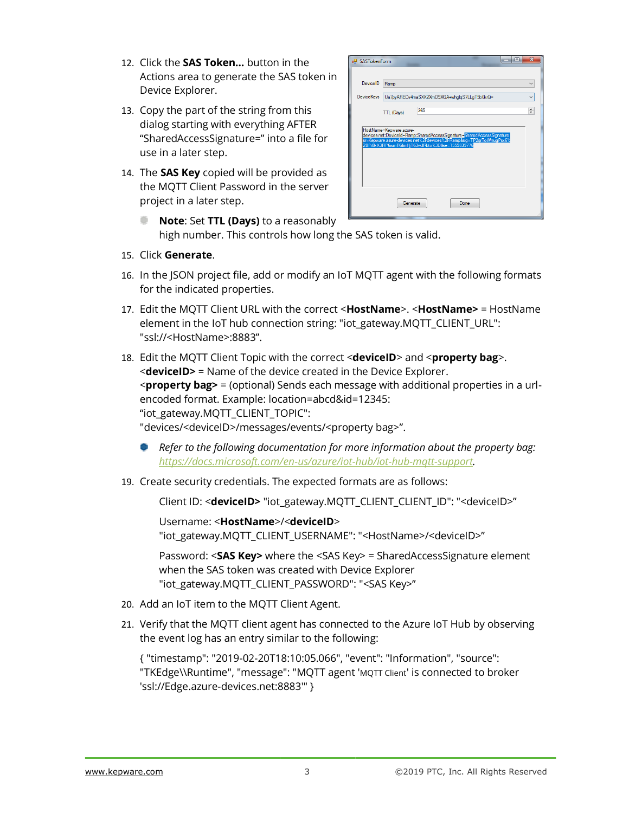- 12. Click the **SAS Token…** button in the Actions area to generate the SAS token in Device Explorer.
- 13. Copy the part of the string from this dialog starting with everything AFTER "SharedAccessSignature=" into a file for use in a later step.
- 14. The **SAS Key** copied will be provided as the MQTT Client Password in the server project in a later step.



- **Note**: Set **TTL (Days)** to a reasonably high number. This controls how long the SAS token is valid.
- 15. Click **Generate**.
- 16. In the JSON project file, add or modify an IoT MQTT agent with the following formats for the indicated properties.
- 17. Edit the MQTT Client URL with the correct <**HostName**>. <**HostName>** = HostName element in the IoT hub connection string: "iot\_gateway.MQTT\_CLIENT\_URL": "ssl://<HostName>:8883".
- 18. Edit the MQTT Client Topic with the correct <**deviceID**> and <**property bag**>. <**deviceID>** = Name of the device created in the Device Explorer. <**property bag>** = (optional) Sends each message with additional properties in a urlencoded format. Example: location=abcd&id=12345: "iot\_gateway.MQTT\_CLIENT\_TOPIC": "devices/<deviceID>/messages/events/<property bag>".
	- *Refer to the following documentation for more information about the property bag: [https://docs.microsoft.com/en-us/azure/iot-hub/iot-hub-mqtt-support.](https://docs.microsoft.com/en-us/azure/iot-hub/iot-hub-mqtt-support)*
- 19. Create security credentials. The expected formats are as follows:

Client ID: <**deviceID>** "iot\_gateway.MQTT\_CLIENT\_CLIENT\_ID": "<deviceID>"

Username: <**HostName**>/<**deviceID**> "iot\_gateway.MQTT\_CLIENT\_USERNAME": "<HostName>/<deviceID>"

Password: <**SAS Key>** where the <SAS Key> = SharedAccessSignature element when the SAS token was created with Device Explorer "iot\_gateway.MQTT\_CLIENT\_PASSWORD": "<SAS Key>"

- 20. Add an IoT item to the MQTT Client Agent.
- 21. Verify that the MQTT client agent has connected to the Azure IoT Hub by observing the event log has an entry similar to the following:

{ "timestamp": "2019-02-20T18:10:05.066", "event": "Information", "source": "TKEdge\\Runtime", "message": "MQTT agent 'MQTT Client' is connected to broker 'ssl://Edge.azure-devices.net:8883'" }